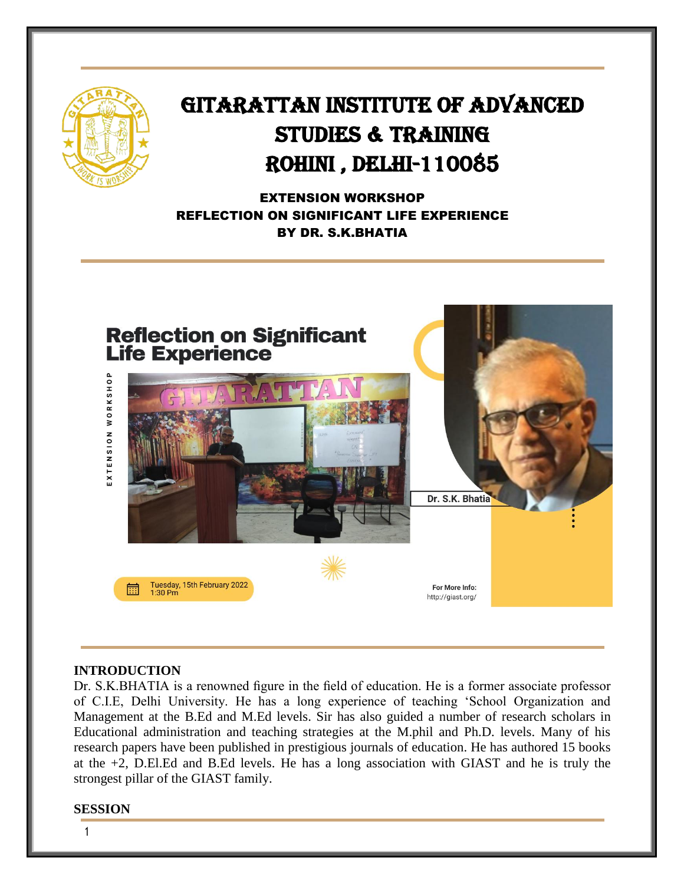

## GITARATTAN INSTITUTE OF ADVANCED STUDIES & TRAINING Rohini , Delhi-110085

Ī

EXTENSION WORKSHOP REFLECTION ON SIGNIFICANT LIFE EXPERIENCE BY DR. S.K.BHATIA



## **INTRODUCTION**

Dr. S.K.BHATIA is a renowned figure in the field of education. He is a former associate professor of C.I.E, Delhi University. He has a long experience of teaching 'School Organization and Management at the B.Ed and M.Ed levels. Sir has also guided a number of research scholars in Educational administration and teaching strategies at the M.phil and Ph.D. levels. Many of his research papers have been published in prestigious journals of education. He has authored 15 books at the +2, D.El.Ed and B.Ed levels. He has a long association with GIAST and he is truly the strongest pillar of the GIAST family.

#### **SESSION**